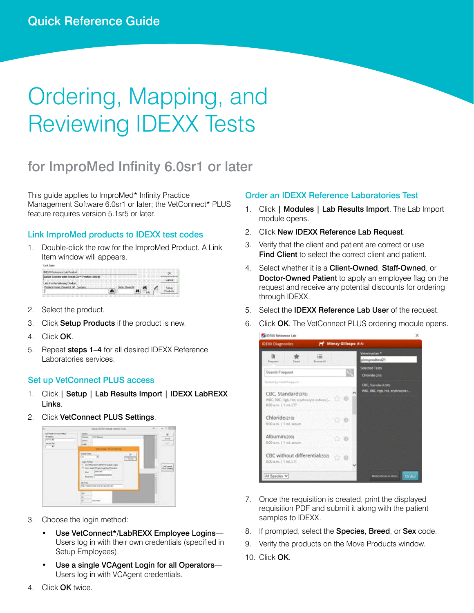# Ordering, Mapping, and Reviewing IDEXX Tests

# for ImproMed Infinity 6.0sr1 or later

This guide applies to ImproMed\* Infinity Practice Management Software 6.0sr1 or later; the VetConnect\* PLUS feature requires version 5.1sr5 or later.

### Link ImproMed products to IDEXX test codes

1. Double-click the row for the ImproMed Product. A Link Item window will appears.

- 2. Select the product.
- 3. Click Setup Products if the product is new.
- 4. Click OK.
- 5. Repeat steps 1-4 for all desired IDEXX Reference Laboratories services.

#### Set up VetConnect PLUS access

- 1. Click | Setup | Lab Results Import | IDEXX LabREXX Links.
- 2. Click VetConnect PLUS Settings.



- 3. Choose the login method:
	- Use VetConnect\*/LabREXX Employee Logins— Users log in with their own credentials (specified in Setup Employees).
	- Use a single VCAgent Login for all Operators-Users log in with VCAgent credentials.

#### Order an IDEXX Reference Laboratories Test

- 1. Click | Modules | Lab Results Import. The Lab Import module opens.
- 2. Click New IDEXX Reference Lab Request.
- 3. Verify that the client and patient are correct or use Find Client to select the correct client and patient.
- 4. Select whether it is a Client-Owned, Staff-Owned, or Doctor-Owned Patient to apply an employee flag on the request and receive any potential discounts for ordering through IDEXX.
- 5. Select the **IDEXX Reference Lab User** of the request.
- 6. Click OK. The VetConnect PLUS ordering module opens.



- 7. Once the requisition is created, print the displayed requisition PDF and submit it along with the patient samples to IDEXX.
- 8. If prompted, select the Species, Breed, or Sex code.
- 9. Verify the products on the Move Products window.
- 10. Click OK.

4. Click OK twice.